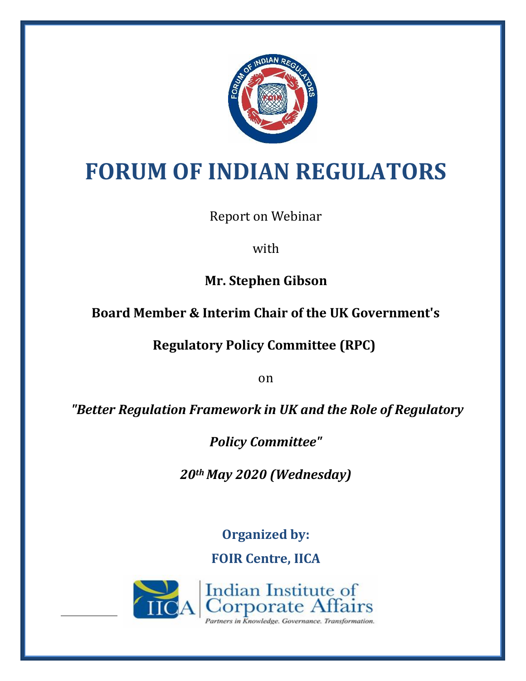

# **FORUM OF INDIAN REGULATORS**

Report on Webinar

with

**Mr. Stephen Gibson**

# **Board Member & Interim Chair of the UK Government's**

**Regulatory Policy Committee (RPC)**

on

*"Better Regulation Framework in UK and the Role of Regulatory* 

*Policy Committee"*

*20th May 2020 (Wednesday)*

**Organized by:**

**FOIR Centre, IICA**

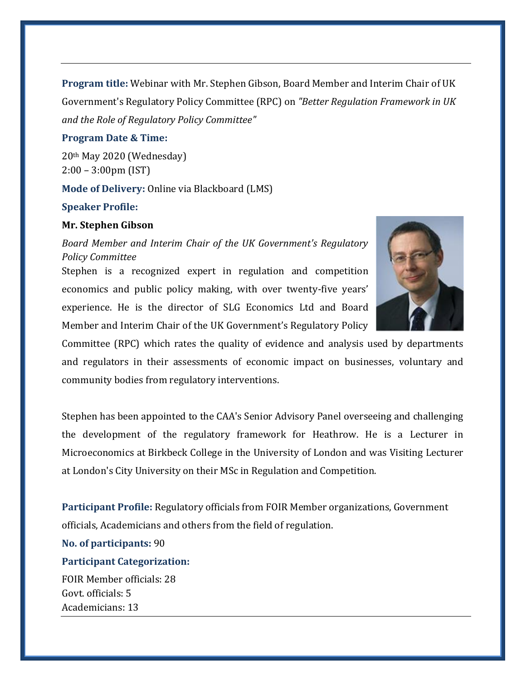**Program title:** Webinar with Mr. Stephen Gibson, Board Member and Interim Chair of UK Government's Regulatory Policy Committee (RPC) on *"Better Regulation Framework in UK and the Role of Regulatory Policy Committee"*

### **Program Date & Time:**

20th May 2020 (Wednesday) 2:00 – 3:00pm (IST)

**Mode of Delivery:** Online via Blackboard (LMS)

#### **Speaker Profile:**

### **Mr. Stephen Gibson**

*Board Member and Interim Chair of the UK Government's Regulatory Policy Committee*

Stephen is a recognized expert in regulation and competition economics and public policy making, with over twenty-five years' experience. He is the director of SLG Economics Ltd and Board Member and Interim Chair of the UK Government's Regulatory Policy



Committee (RPC) which rates the quality of evidence and analysis used by departments and regulators in their assessments of economic impact on businesses, voluntary and community bodies from regulatory interventions.

Stephen has been appointed to the CAA's Senior Advisory Panel overseeing and challenging the development of the regulatory framework for Heathrow. He is a Lecturer in Microeconomics at Birkbeck College in the University of London and was Visiting Lecturer at London's City University on their MSc in Regulation and Competition.

**Participant Profile:** Regulatory officials from FOIR Member organizations, Government officials, Academicians and others from the field of regulation.

**No. of participants:** 90

## **Participant Categorization:**

FOIR Member officials: 28 Govt. officials: 5 Academicians: 13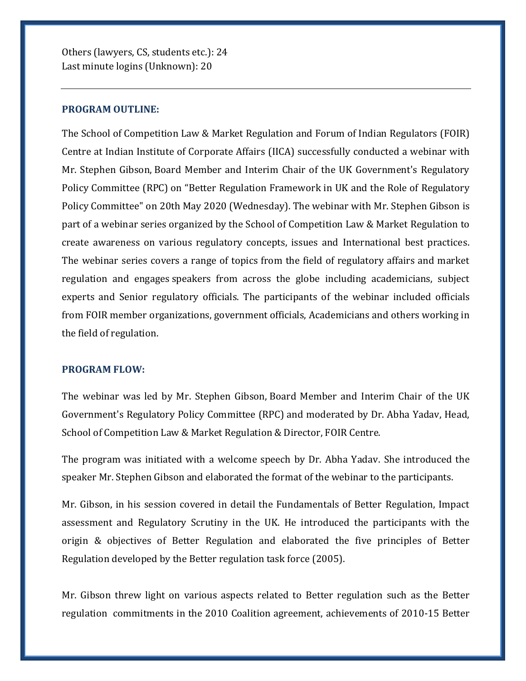Others (lawyers, CS, students etc.): 24 Last minute logins (Unknown): 20

#### **PROGRAM OUTLINE:**

The School of Competition Law & Market Regulation and Forum of Indian Regulators (FOIR) Centre at Indian Institute of Corporate Affairs (IICA) successfully conducted a webinar with Mr. Stephen Gibson, Board Member and Interim Chair of the UK Government's Regulatory Policy Committee (RPC) on "Better Regulation Framework in UK and the Role of Regulatory Policy Committee" on 20th May 2020 (Wednesday). The webinar with Mr. Stephen Gibson is part of a webinar series organized by the School of Competition Law & Market Regulation to create awareness on various regulatory concepts, issues and International best practices. The webinar series covers a range of topics from the field of regulatory affairs and market regulation and engages speakers from across the globe including academicians, subject experts and Senior regulatory officials. The participants of the webinar included officials from FOIR member organizations, government officials, Academicians and others working in the field of regulation.

### **PROGRAM FLOW:**

The webinar was led by Mr. Stephen Gibson, Board Member and Interim Chair of the UK Government's Regulatory Policy Committee (RPC) and moderated by Dr. Abha Yadav, Head, School of Competition Law & Market Regulation & Director, FOIR Centre.

The program was initiated with a welcome speech by Dr. Abha Yadav. She introduced the speaker Mr. Stephen Gibson and elaborated the format of the webinar to the participants.

Mr. Gibson, in his session covered in detail the Fundamentals of Better Regulation, Impact assessment and Regulatory Scrutiny in the UK. He introduced the participants with the origin & objectives of Better Regulation and elaborated the five principles of Better Regulation developed by the Better regulation task force (2005).

Mr. Gibson threw light on various aspects related to Better regulation such as the Better regulation commitments in the 2010 Coalition agreement, achievements of 2010-15 Better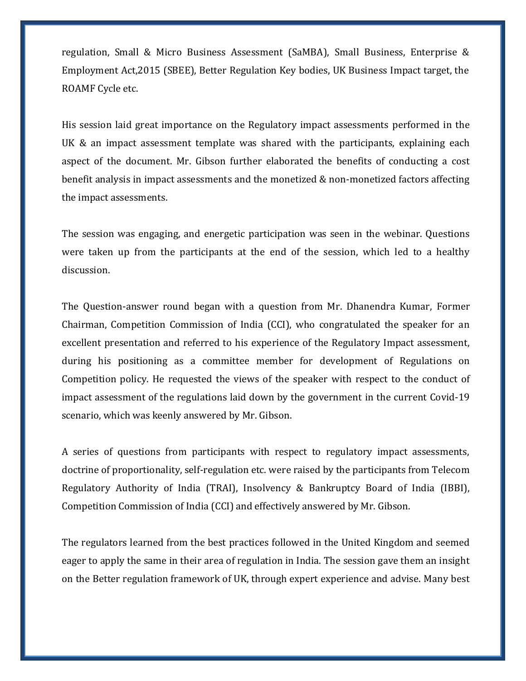regulation, Small & Micro Business Assessment (SaMBA), Small Business, Enterprise & Employment Act,2015 (SBEE), Better Regulation Key bodies, UK Business Impact target, the ROAMF Cycle etc.

His session laid great importance on the Regulatory impact assessments performed in the UK & an impact assessment template was shared with the participants, explaining each aspect of the document. Mr. Gibson further elaborated the benefits of conducting a cost benefit analysis in impact assessments and the monetized & non-monetized factors affecting the impact assessments.

The session was engaging, and energetic participation was seen in the webinar. Questions were taken up from the participants at the end of the session, which led to a healthy discussion.

The Question-answer round began with a question from Mr. Dhanendra Kumar, Former Chairman, Competition Commission of India (CCI), who congratulated the speaker for an excellent presentation and referred to his experience of the Regulatory Impact assessment, during his positioning as a committee member for development of Regulations on Competition policy. He requested the views of the speaker with respect to the conduct of impact assessment of the regulations laid down by the government in the current Covid-19 scenario, which was keenly answered by Mr. Gibson.

A series of questions from participants with respect to regulatory impact assessments, doctrine of proportionality, self-regulation etc. were raised by the participants from Telecom Regulatory Authority of India (TRAI), Insolvency & Bankruptcy Board of India (IBBI), Competition Commission of India (CCI) and effectively answered by Mr. Gibson.

The regulators learned from the best practices followed in the United Kingdom and seemed eager to apply the same in their area of regulation in India. The session gave them an insight on the Better regulation framework of UK, through expert experience and advise. Many best